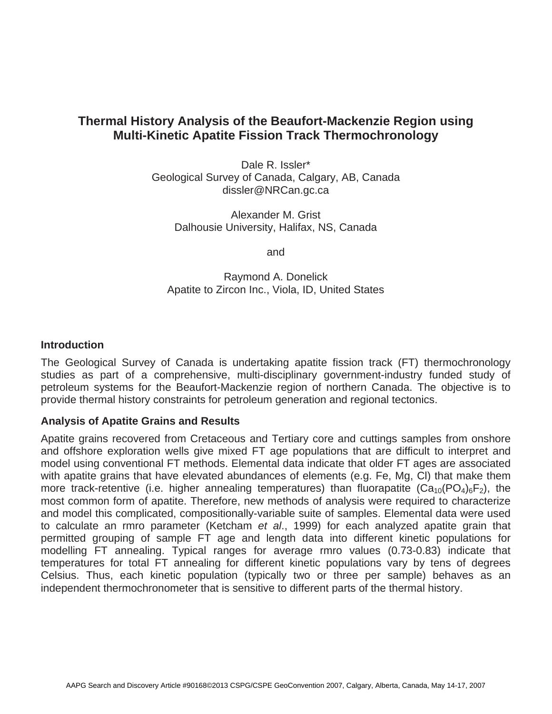# **Thermal History Analysis of the Beaufort-Mackenzie Region using Multi-Kinetic Apatite Fission Track Thermochronology**

Dale R. Issler\* Geological Survey of Canada, Calgary, AB, Canada dissler@NRCan.gc.ca

Alexander M. Grist Dalhousie University, Halifax, NS, Canada

and

Raymond A. Donelick Apatite to Zircon Inc., Viola, ID, United States

## **Introduction**

The Geological Survey of Canada is undertaking apatite fission track (FT) thermochronology studies as part of a comprehensive, multi-disciplinary government-industry funded study of petroleum systems for the Beaufort-Mackenzie region of northern Canada. The objective is to provide thermal history constraints for petroleum generation and regional tectonics.

# **Analysis of Apatite Grains and Results**

Apatite grains recovered from Cretaceous and Tertiary core and cuttings samples from onshore and offshore exploration wells give mixed FT age populations that are difficult to interpret and model using conventional FT methods. Elemental data indicate that older FT ages are associated with apatite grains that have elevated abundances of elements (e.g. Fe, Mg, Cl) that make them more track-retentive (i.e. higher annealing temperatures) than fluorapatite  $(Ca_{10}(PO_4)_6F_2)$ , the most common form of apatite. Therefore, new methods of analysis were required to characterize and model this complicated, compositionally-variable suite of samples. Elemental data were used to calculate an rmro parameter (Ketcham *et al*., 1999) for each analyzed apatite grain that permitted grouping of sample FT age and length data into different kinetic populations for modelling FT annealing. Typical ranges for average rmro values (0.73-0.83) indicate that temperatures for total FT annealing for different kinetic populations vary by tens of degrees Celsius. Thus, each kinetic population (typically two or three per sample) behaves as an independent thermochronometer that is sensitive to different parts of the thermal history.